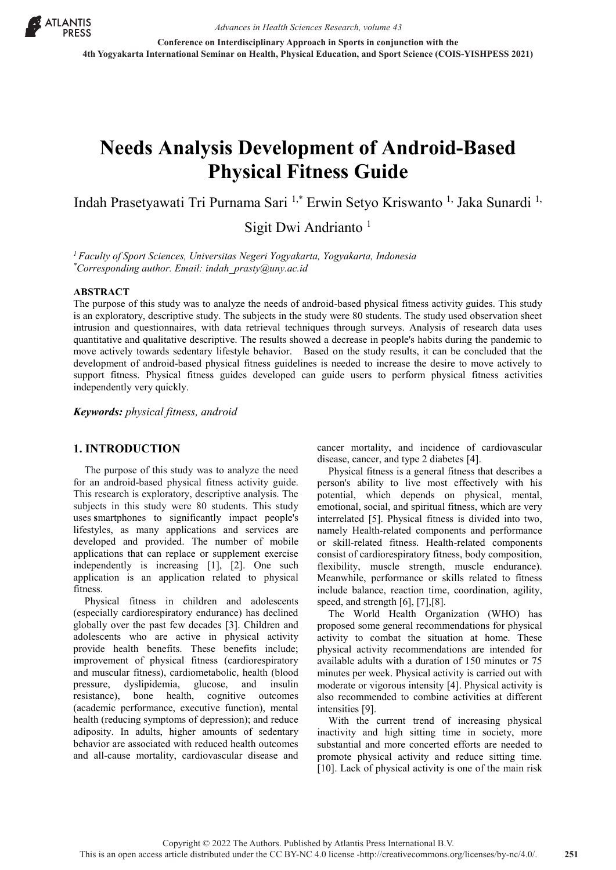

**Conference on Interdisciplinary Approach in Sports in conjunction with the 4th Yogyakarta International Seminar on Health, Physical Education, and Sport Science (COIS-YISHPESS 2021)**

# **Needs Analysis Development of Android-Based Physical Fitness Guide**

Indah Prasetyawati Tri Purnama Sari 1,\* Erwin Setyo Kriswanto 1, Jaka Sunardi 1,

Sigit Dwi Andrianto  $<sup>1</sup>$ </sup>

*1 Faculty of Sport Sciences, Universitas Negeri Yogyakarta, Yogyakarta, Indonesia \* Corresponding author. Email: indah\_prasty@uny.ac.id*

#### **ABSTRACT**

The purpose of this study was to analyze the needs of android-based physical fitness activity guides. This study is an exploratory, descriptive study. The subjects in the study were 80 students. The study used observation sheet intrusion and questionnaires, with data retrieval techniques through surveys. Analysis of research data uses quantitative and qualitative descriptive. The results showed a decrease in people's habits during the pandemic to move actively towards sedentary lifestyle behavior. Based on the study results, it can be concluded that the development of android-based physical fitness guidelines is needed to increase the desire to move actively to support fitness. Physical fitness guides developed can guide users to perform physical fitness activities independently very quickly.

*Keywords: physical fitness, android*

### **1. INTRODUCTION**

The purpose of this study was to analyze the need for an android-based physical fitness activity guide. This research is exploratory, descriptive analysis. The subjects in this study were 80 students. This study uses **s**martphones to significantly impact people's lifestyles, as many applications and services are developed and provided. The number of mobile applications that can replace or supplement exercise independently is increasing [1], [2]. One such application is an application related to physical fitness.

Physical fitness in children and adolescents (especially cardiorespiratory endurance) has declined globally over the past few decades [3]. Children and adolescents who are active in physical activity provide health benefits. These benefits include; improvement of physical fitness (cardiorespiratory and muscular fitness), cardiometabolic, health (blood pressure, dyslipidemia, glucose, and insulin resistance), bone health, cognitive outcomes (academic performance, executive function), mental health (reducing symptoms of depression); and reduce adiposity. In adults, higher amounts of sedentary behavior are associated with reduced health outcomes and all-cause mortality, cardiovascular disease and cancer mortality, and incidence of cardiovascular disease, cancer, and type 2 diabetes [4].

Physical fitness is a general fitness that describes a person's ability to live most effectively with his potential, which depends on physical, mental, emotional, social, and spiritual fitness, which are very interrelated [5]. Physical fitness is divided into two, namely Health-related components and performance or skill-related fitness. Health-related components consist of cardiorespiratory fitness, body composition, flexibility, muscle strength, muscle endurance). Meanwhile, performance or skills related to fitness include balance, reaction time, coordination, agility, speed, and strength [6], [7],[8].

The World Health Organization (WHO) has proposed some general recommendations for physical activity to combat the situation at home. These physical activity recommendations are intended for available adults with a duration of 150 minutes or 75 minutes per week. Physical activity is carried out with moderate or vigorous intensity [4]. Physical activity is also recommended to combine activities at different intensities [9].

With the current trend of increasing physical inactivity and high sitting time in society, more substantial and more concerted efforts are needed to promote physical activity and reduce sitting time. [10]. Lack of physical activity is one of the main risk

Copyright © 2022 The Authors. Published by Atlantis Press International B.V. This is an open access article distributed under the CC BY-NC 4.0 license -http://creativecommons.org/licenses/by-nc/4.0/. **251**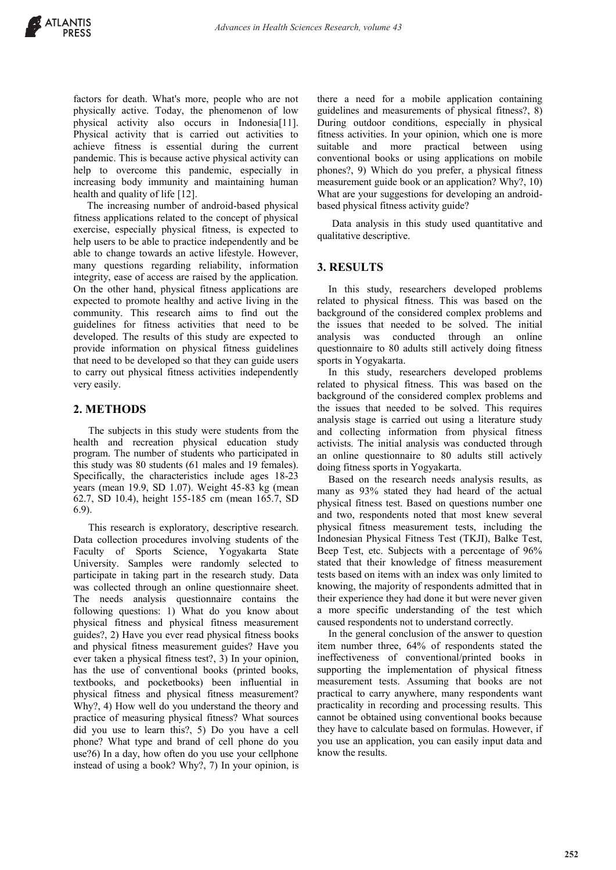factors for death. What's more, people who are not physically active. Today, the phenomenon of low physical activity also occurs in Indonesia[11]. Physical activity that is carried out activities to achieve fitness is essential during the current pandemic. This is because active physical activity can help to overcome this pandemic, especially in increasing body immunity and maintaining human health and quality of life [12].

The increasing number of android-based physical fitness applications related to the concept of physical exercise, especially physical fitness, is expected to help users to be able to practice independently and be able to change towards an active lifestyle. However, many questions regarding reliability, information integrity, ease of access are raised by the application. On the other hand, physical fitness applications are expected to promote healthy and active living in the community. This research aims to find out the guidelines for fitness activities that need to be developed. The results of this study are expected to provide information on physical fitness guidelines that need to be developed so that they can guide users to carry out physical fitness activities independently very easily.

## **2. METHODS**

The subjects in this study were students from the health and recreation physical education study program. The number of students who participated in this study was 80 students (61 males and 19 females). Specifically, the characteristics include ages 18-23 years (mean 19.9, SD 1.07). Weight 45-83 kg (mean 62.7, SD 10.4), height 155-185 cm (mean 165.7, SD 6.9).

This research is exploratory, descriptive research. Data collection procedures involving students of the Faculty of Sports Science, Yogyakarta State University. Samples were randomly selected to participate in taking part in the research study. Data was collected through an online questionnaire sheet. The needs analysis questionnaire contains the following questions: 1) What do you know about physical fitness and physical fitness measurement guides?, 2) Have you ever read physical fitness books and physical fitness measurement guides? Have you ever taken a physical fitness test?, 3) In your opinion, has the use of conventional books (printed books, textbooks, and pocketbooks) been influential in physical fitness and physical fitness measurement? Why?, 4) How well do you understand the theory and practice of measuring physical fitness? What sources did you use to learn this?, 5) Do you have a cell phone? What type and brand of cell phone do you use?6) In a day, how often do you use your cellphone instead of using a book? Why?, 7) In your opinion, is

there a need for a mobile application containing guidelines and measurements of physical fitness?, 8) During outdoor conditions, especially in physical fitness activities. In your opinion, which one is more suitable and more practical between using conventional books or using applications on mobile phones?, 9) Which do you prefer, a physical fitness measurement guide book or an application? Why?, 10) What are your suggestions for developing an androidbased physical fitness activity guide?

Data analysis in this study used quantitative and qualitative descriptive.

## **3. RESULTS**

In this study, researchers developed problems related to physical fitness. This was based on the background of the considered complex problems and the issues that needed to be solved. The initial analysis was conducted through an online questionnaire to 80 adults still actively doing fitness sports in Yogyakarta.

In this study, researchers developed problems related to physical fitness. This was based on the background of the considered complex problems and the issues that needed to be solved. This requires analysis stage is carried out using a literature study and collecting information from physical fitness activists. The initial analysis was conducted through an online questionnaire to 80 adults still actively doing fitness sports in Yogyakarta.

Based on the research needs analysis results, as many as 93% stated they had heard of the actual physical fitness test. Based on questions number one and two, respondents noted that most knew several physical fitness measurement tests, including the Indonesian Physical Fitness Test (TKJI), Balke Test, Beep Test, etc. Subjects with a percentage of 96% stated that their knowledge of fitness measurement tests based on items with an index was only limited to knowing, the majority of respondents admitted that in their experience they had done it but were never given a more specific understanding of the test which caused respondents not to understand correctly.

In the general conclusion of the answer to question item number three, 64% of respondents stated the ineffectiveness of conventional/printed books in supporting the implementation of physical fitness measurement tests. Assuming that books are not practical to carry anywhere, many respondents want practicality in recording and processing results. This cannot be obtained using conventional books because they have to calculate based on formulas. However, if you use an application, you can easily input data and know the results.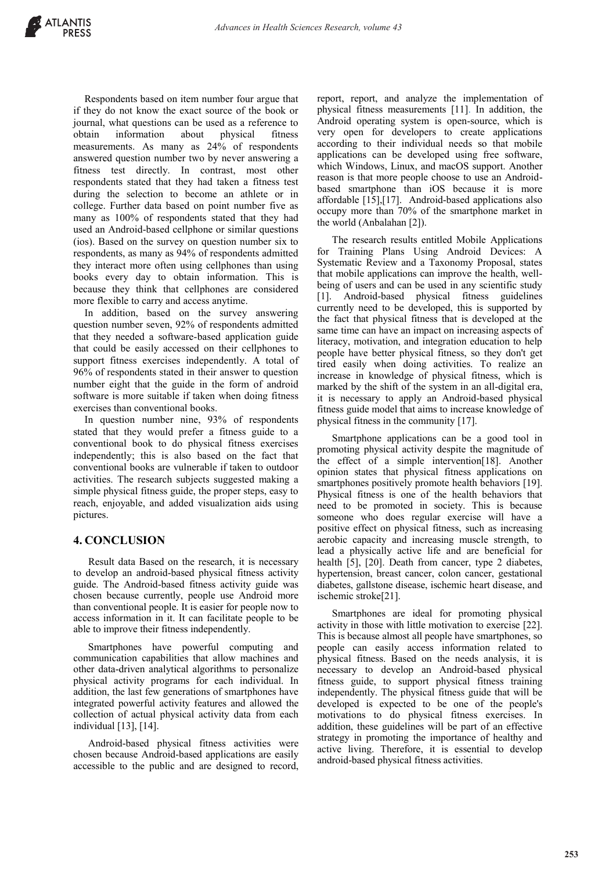Respondents based on item number four argue that if they do not know the exact source of the book or journal, what questions can be used as a reference to obtain information about physical fitness measurements. As many as 24% of respondents answered question number two by never answering a fitness test directly. In contrast, most other respondents stated that they had taken a fitness test during the selection to become an athlete or in college. Further data based on point number five as many as 100% of respondents stated that they had used an Android-based cellphone or similar questions (ios). Based on the survey on question number six to respondents, as many as 94% of respondents admitted they interact more often using cellphones than using books every day to obtain information. This is because they think that cellphones are considered more flexible to carry and access anytime.

In addition, based on the survey answering question number seven, 92% of respondents admitted that they needed a software-based application guide that could be easily accessed on their cellphones to support fitness exercises independently. A total of 96% of respondents stated in their answer to question number eight that the guide in the form of android software is more suitable if taken when doing fitness exercises than conventional books.

In question number nine, 93% of respondents stated that they would prefer a fitness guide to a conventional book to do physical fitness exercises independently; this is also based on the fact that conventional books are vulnerable if taken to outdoor activities. The research subjects suggested making a simple physical fitness guide, the proper steps, easy to reach, enjoyable, and added visualization aids using pictures.

## **4. CONCLUSION**

Result data Based on the research, it is necessary to develop an android-based physical fitness activity guide. The Android-based fitness activity guide was chosen because currently, people use Android more than conventional people. It is easier for people now to access information in it. It can facilitate people to be able to improve their fitness independently.

Smartphones have powerful computing and communication capabilities that allow machines and other data-driven analytical algorithms to personalize physical activity programs for each individual. In addition, the last few generations of smartphones have integrated powerful activity features and allowed the collection of actual physical activity data from each individual [13], [14].

Android-based physical fitness activities were chosen because Android-based applications are easily accessible to the public and are designed to record, report, report, and analyze the implementation of physical fitness measurements [11]. In addition, the Android operating system is open-source, which is very open for developers to create applications according to their individual needs so that mobile applications can be developed using free software, which Windows, Linux, and macOS support. Another reason is that more people choose to use an Androidbased smartphone than iOS because it is more affordable [15],[17]. Android-based applications also occupy more than 70% of the smartphone market in the world (Anbalahan [2]).

The research results entitled Mobile Applications for Training Plans Using Android Devices: A Systematic Review and a Taxonomy Proposal, states that mobile applications can improve the health, wellbeing of users and can be used in any scientific study [1]. Android-based physical fitness guidelines currently need to be developed, this is supported by the fact that physical fitness that is developed at the same time can have an impact on increasing aspects of literacy, motivation, and integration education to help people have better physical fitness, so they don't get tired easily when doing activities. To realize an increase in knowledge of physical fitness, which is marked by the shift of the system in an all-digital era, it is necessary to apply an Android-based physical fitness guide model that aims to increase knowledge of physical fitness in the community [17].

Smartphone applications can be a good tool in promoting physical activity despite the magnitude of the effect of a simple intervention[18]. Another opinion states that physical fitness applications on smartphones positively promote health behaviors [19]. Physical fitness is one of the health behaviors that need to be promoted in society. This is because someone who does regular exercise will have a positive effect on physical fitness, such as increasing aerobic capacity and increasing muscle strength, to lead a physically active life and are beneficial for health [5], [20]. Death from cancer, type 2 diabetes, hypertension, breast cancer, colon cancer, gestational diabetes, gallstone disease, ischemic heart disease, and ischemic stroke[21].

Smartphones are ideal for promoting physical activity in those with little motivation to exercise [22]. This is because almost all people have smartphones, so people can easily access information related to physical fitness. Based on the needs analysis, it is necessary to develop an Android-based physical fitness guide, to support physical fitness training independently. The physical fitness guide that will be developed is expected to be one of the people's motivations to do physical fitness exercises. In addition, these guidelines will be part of an effective strategy in promoting the importance of healthy and active living. Therefore, it is essential to develop android-based physical fitness activities.